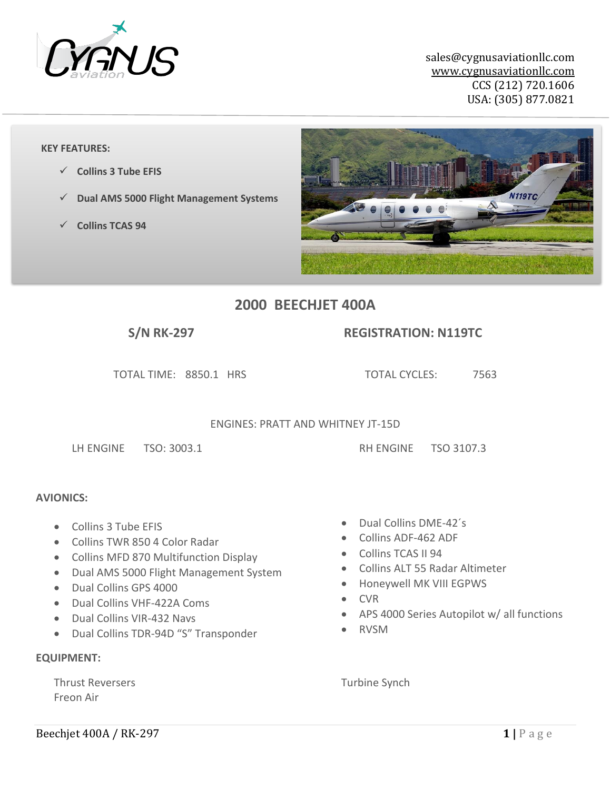

sales@cygnusaviationllc.com [www.cygnusaviationllc.com](http://www.cygnusaviationllc.com/) CCS (212) 720.1606 USA: (305) 877.0821

#### **KEY FEATURES:**

- **Collins 3 Tube EFIS**
- **Dual AMS 5000 Flight Management Systems**
- **Collins TCAS 94**



# **2000 BEECHJET 400A**

## **S/N RK-297 REGISTRATION: N119TC**

TOTAL TIME: 8850.1 HRS TOTAL CYCLES: 7563

## ENGINES: PRATT AND WHITNEY JT-15D

LH ENGINE TSO: 3003.1 RH ENGINE TSO 3107.3

#### **AVIONICS:**

- Collins 3 Tube EFIS
- Collins TWR 850 4 Color Radar
- Collins MFD 870 Multifunction Display
- Dual AMS 5000 Flight Management System
- Dual Collins GPS 4000
- Dual Collins VHF-422A Coms
- Dual Collins VIR-432 Navs
- Dual Collins TDR-94D "S" Transponder

#### **EQUIPMENT:**

Thrust Reversers Freon Air

- Dual Collins DME-42's
- Collins ADF-462 ADF
- Collins TCAS II 94
- Collins ALT 55 Radar Altimeter
- Honeywell MK VIII EGPWS
- CVR
- APS 4000 Series Autopilot w/ all functions
- RVSM

Turbine Synch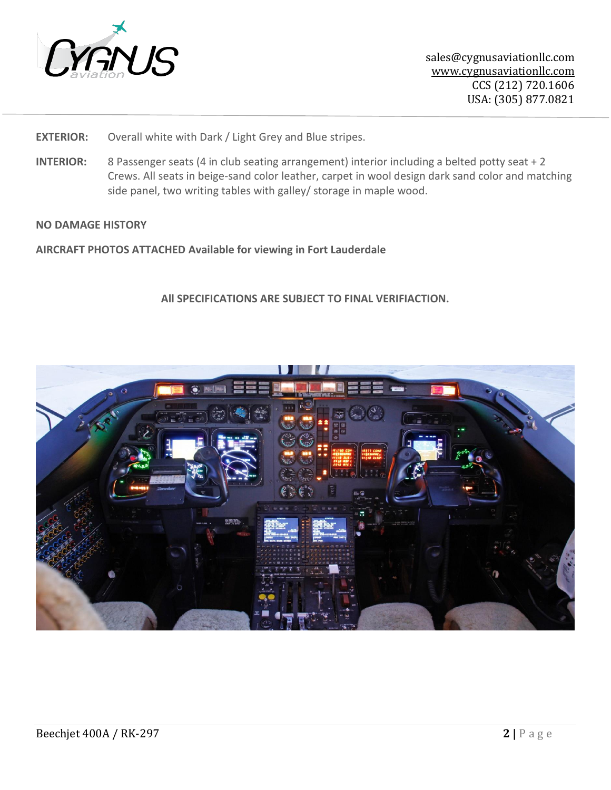

- **EXTERIOR:** Overall white with Dark / Light Grey and Blue stripes.
- **INTERIOR:** 8 Passenger seats (4 in club seating arrangement) interior including a belted potty seat + 2 Crews. All seats in beige-sand color leather, carpet in wool design dark sand color and matching side panel, two writing tables with galley/ storage in maple wood.

### **NO DAMAGE HISTORY**

**AIRCRAFT PHOTOS ATTACHED Available for viewing in Fort Lauderdale**

## **All SPECIFICATIONS ARE SUBJECT TO FINAL VERIFIACTION.**

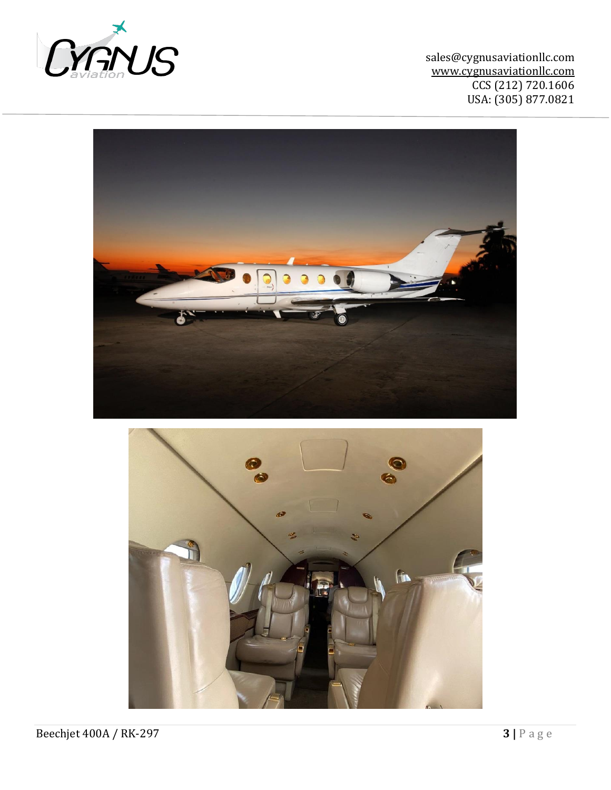

sales@cygnusaviationllc.com www.cygnusaviationllc.com<br>CCS (212) 720.1606 USA: (305) 877.0821